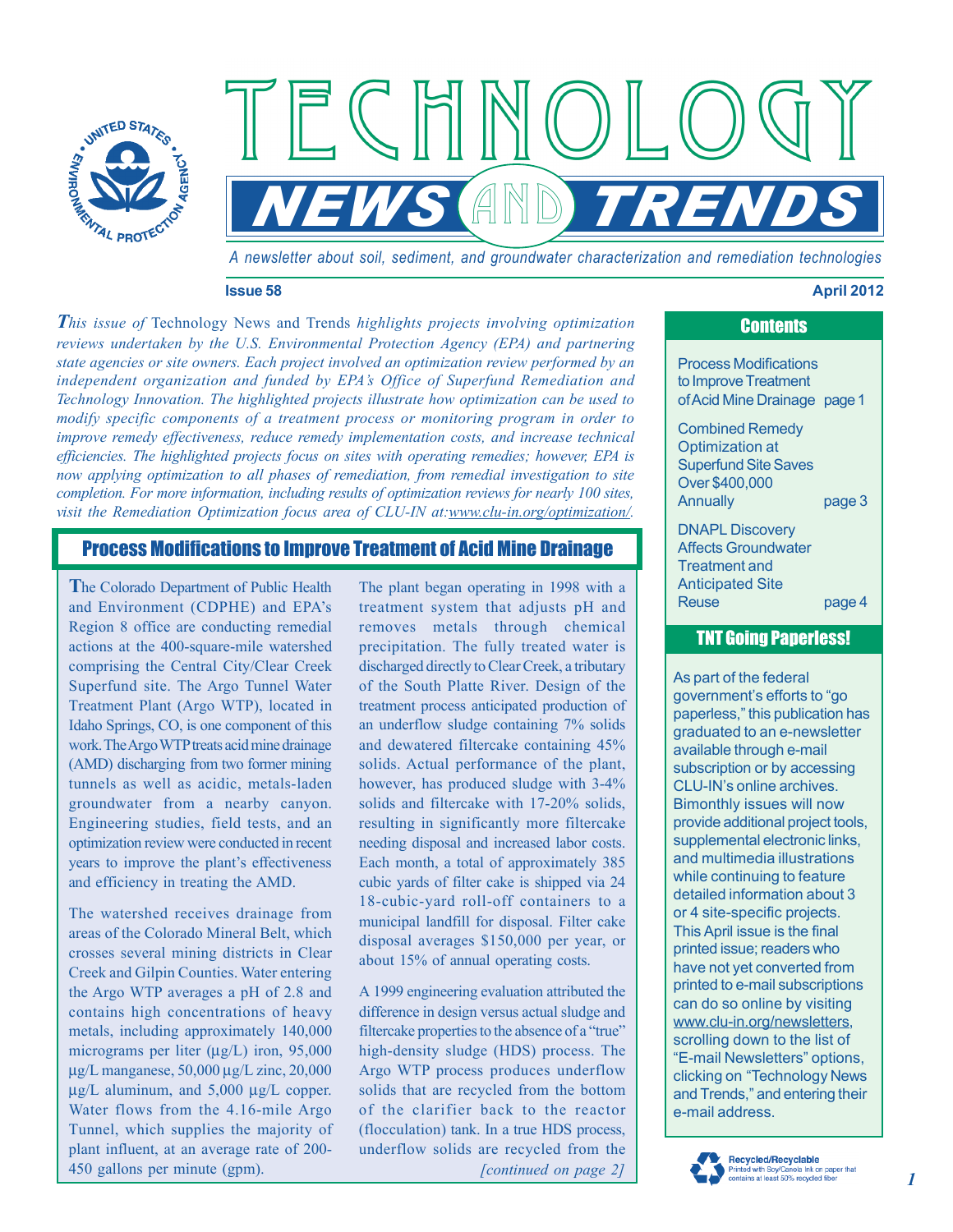

*A newsletter about soil, sediment, and groundwater characterization and remediation technologies* 

*NEWS AND TRENDS* 

#### **Issue 58 April 2012**

*This issue of* Technology News and Trends *highlights projects involving optimization reviews undertaken by the U.S. Environmental Protection Agency (EPA) and partnering state agencies or site owners. Each project involved an optimization review performed by an independent organization and funded by EPA's Office of Superfund Remediation and Technology Innovation. The highlighted projects illustrate how optimization can be used to modify specific components of a treatment process or monitoring program in order to improve remedy effectiveness, reduce remedy implementation costs, and increase technical efficiencies. The highlighted projects focus on sites with operating remedies; however, EPA is now applying optimization to all phases of remediation, from remedial investigation to site completion. For more information, including results of optimization reviews for nearly 100 sites,*  visit the Remediation Optimization focus area of CLU-IN at:www.clu-in.org/optimization/.

 $\exists$   $\mathbb{C}$   $\mathbb{F}$ 

# Process Modifications to Improve Treatment of Acid Mine Drainage

**T**he Colorado Department of Public Health and Environment (CDPHE) and EPA's Region 8 office are conducting remedial actions at the 400-square-mile watershed comprising the Central City/Clear Creek Superfund site. The Argo Tunnel Water Treatment Plant (Argo WTP), located in Idaho Springs, CO, is one component of this work. The Argo WTP treats acid mine drainage (AMD) discharging from two former mining tunnels as well as acidic, metals-laden groundwater from a nearby canyon. Engineering studies, field tests, and an optimization review were conducted in recent years to improve the plant's effectiveness and efficiency in treating the AMD.

The watershed receives drainage from areas of the Colorado Mineral Belt, which crosses several mining districts in Clear Creek and Gilpin Counties. Water entering the Argo WTP averages a pH of 2.8 and contains high concentrations of heavy metals, including approximately 140,000 micrograms per liter (μg/L) iron, 95,000 μg/L manganese, 50,000 μg/L zinc, 20,000 μg/L aluminum, and 5,000 μg/L copper. Water flows from the 4.16-mile Argo Tunnel, which supplies the majority of plant influent, at an average rate of 200 450 gallons per minute (gpm).

The plant began operating in 1998 with a treatment system that adjusts pH and removes metals through chemical precipitation. The fully treated water is discharged directly to Clear Creek, a tributary of the South Platte River. Design of the treatment process anticipated production of an underflow sludge containing 7% solids and dewatered filtercake containing 45% solids. Actual performance of the plant, however, has produced sludge with 3-4% solids and filtercake with 17-20% solids, resulting in significantly more filtercake needing disposal and increased labor costs. Each month, a total of approximately 385 cubic yards of filter cake is shipped via 24 18-cubic-yard roll-off containers to a municipal landfill for disposal. Filter cake disposal averages \$150,000 per year, or about 15% of annual operating costs.

*[continued on page 2]*  A 1999 engineering evaluation attributed the difference in design versus actual sludge and filtercake properties to the absence of a "true" high-density sludge (HDS) process. The Argo WTP process produces underflow solids that are recycled from the bottom of the clarifier back to the reactor (flocculation) tank. In a true HDS process, underflow solids are recycled from the

# **Contents**

Process Modifications to Improve Treatment ofAcid Mine Drainage page 1

Combined Remedy Optimization at Superfund Site Saves Over \$400,000 Annually **page 3** 

DNAPL Discovery Affects Groundwater Treatment and Anticipated Site Reuse page 4

### TNT Going Paperless!

As part of the federal government's efforts to "go paperless," this publication has graduated to an e-newsletter available through e-mail subscription or by accessing CLU-IN's online archives. Bimonthly issues will now provide additional project tools, supplemental electronic links, and multimedia illustrations while continuing to feature detailed information about 3 or 4 site-specific projects. This April issue is the final printed issue; readers who have not yet converted from printed to e-mail subscriptions can do so online by visiting www.clu-in.org/newsletters, scrolling down to the list of "E-mail Newsletters" options, clicking on "Technology News and Trends," and entering their e-mail address.

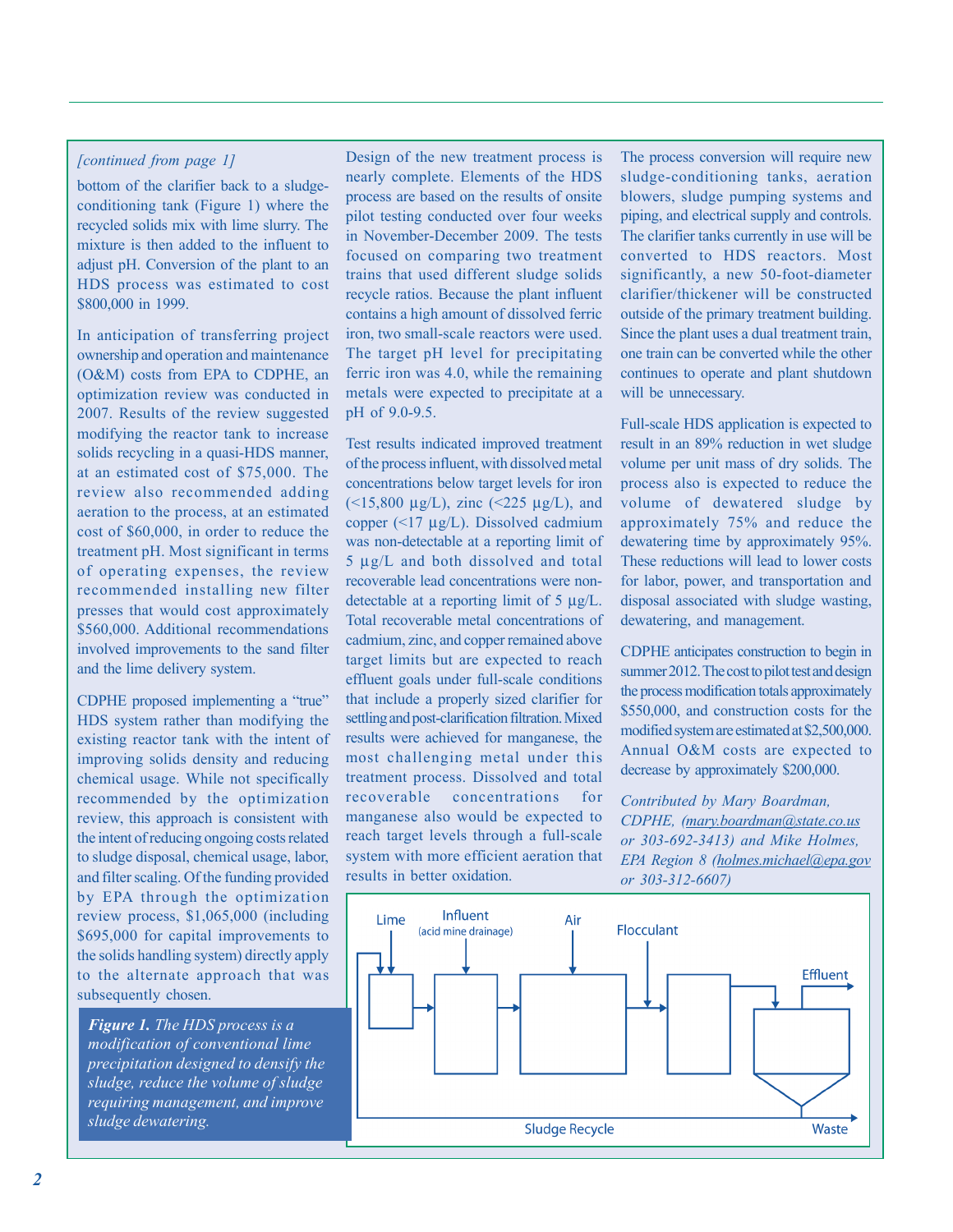#### *[continued from page 1]*

bottom of the clarifier back to a sludgeconditioning tank (Figure 1) where the recycled solids mix with lime slurry. The mixture is then added to the influent to adjust pH. Conversion of the plant to an HDS process was estimated to cost \$800,000 in 1999.

In anticipation of transferring project ownership and operation and maintenance (O&M) costs from EPA to CDPHE, an optimization review was conducted in 2007. Results of the review suggested modifying the reactor tank to increase solids recycling in a quasi-HDS manner, at an estimated cost of \$75,000. The review also recommended adding aeration to the process, at an estimated cost of \$60,000, in order to reduce the treatment pH. Most significant in terms of operating expenses, the review recommended installing new filter presses that would cost approximately \$560,000. Additional recommendations involved improvements to the sand filter and the lime delivery system.

CDPHE proposed implementing a "true" HDS system rather than modifying the existing reactor tank with the intent of improving solids density and reducing chemical usage. While not specifically recommended by the optimization review, this approach is consistent with the intent of reducing ongoing costs related to sludge disposal, chemical usage, labor, and filter scaling. Of the funding provided by EPA through the optimization review process, \$1,065,000 (including \$695,000 for capital improvements to the solids handling system) directly apply to the alternate approach that was subsequently chosen.

*Figure 1. The HDS process is a modification of conventional lime precipitation designed to densify the sludge, reduce the volume of sludge requiring management, and improve sludge dewatering.* 

Design of the new treatment process is nearly complete. Elements of the HDS process are based on the results of onsite pilot testing conducted over four weeks in November-December 2009. The tests focused on comparing two treatment trains that used different sludge solids recycle ratios. Because the plant influent contains a high amount of dissolved ferric iron, two small-scale reactors were used. The target pH level for precipitating ferric iron was 4.0, while the remaining metals were expected to precipitate at a pH of 9.0-9.5.

Test results indicated improved treatment of the process influent, with dissolved metal concentrations below target levels for iron ( $\le$ 15,800 µg/L), zinc ( $\le$ 225 µg/L), and copper (<17 μg/L). Dissolved cadmium was non-detectable at a reporting limit of 5 μg/L and both dissolved and total recoverable lead concentrations were nondetectable at a reporting limit of 5 μg/L. Total recoverable metal concentrations of cadmium, zinc, and copper remained above target limits but are expected to reach effluent goals under full-scale conditions that include a properly sized clarifier for settling and post-clarification filtration. Mixed results were achieved for manganese, the most challenging metal under this treatment process. Dissolved and total recoverable concentrations for manganese also would be expected to reach target levels through a full-scale system with more efficient aeration that results in better oxidation.

The process conversion will require new sludge-conditioning tanks, aeration blowers, sludge pumping systems and piping, and electrical supply and controls. The clarifier tanks currently in use will be converted to HDS reactors. Most significantly, a new 50-foot-diameter clarifier/thickener will be constructed outside of the primary treatment building. Since the plant uses a dual treatment train, one train can be converted while the other continues to operate and plant shutdown will be unnecessary.

Full-scale HDS application is expected to result in an 89% reduction in wet sludge volume per unit mass of dry solids. The process also is expected to reduce the volume of dewatered sludge by approximately 75% and reduce the dewatering time by approximately 95%. These reductions will lead to lower costs for labor, power, and transportation and disposal associated with sludge wasting, dewatering, and management.

CDPHE anticipates construction to begin in summer 2012. The cost to pilot test and design the process modification totals approximately \$550,000, and construction costs for the modified system are estimated at \$2,500,000. Annual O&M costs are expected to decrease by approximately \$200,000.

*Contributed by Mary Boardman, CDPHE, (mary.boardman@state.co.us or 303-692-3413) and Mike Holmes, EPA Region 8 (holmes.michael@epa.gov or 303-312-6607)* 

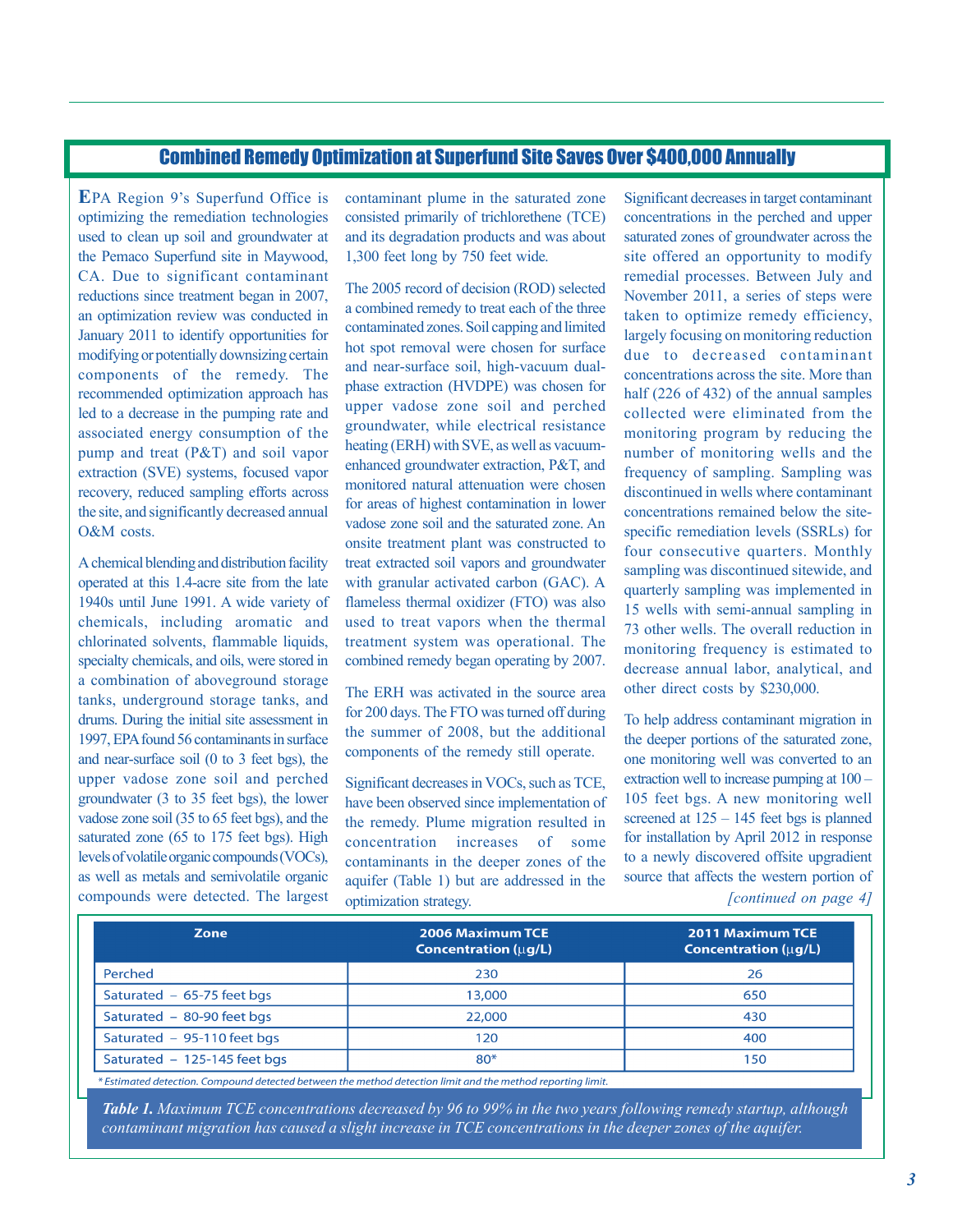# Combined Remedy Optimization at Superfund Site Saves Over \$400,000 Annually

**E**PA Region 9's Superfund Office is optimizing the remediation technologies used to clean up soil and groundwater at the Pemaco Superfund site in Maywood, CA. Due to significant contaminant reductions since treatment began in 2007, an optimization review was conducted in January 2011 to identify opportunities for modifying or potentially downsizing certain components of the remedy. The recommended optimization approach has led to a decrease in the pumping rate and associated energy consumption of the pump and treat (P&T) and soil vapor extraction (SVE) systems, focused vapor recovery, reduced sampling efforts across the site, and significantly decreased annual O&M costs.

A chemical blending and distribution facility operated at this 1.4-acre site from the late 1940s until June 1991. A wide variety of chemicals, including aromatic and chlorinated solvents, flammable liquids, specialty chemicals, and oils, were stored in a combination of aboveground storage tanks, underground storage tanks, and drums. During the initial site assessment in 1997, EPA found 56 contaminants in surface and near-surface soil (0 to 3 feet bgs), the upper vadose zone soil and perched groundwater (3 to 35 feet bgs), the lower vadose zone soil (35 to 65 feet bgs), and the saturated zone (65 to 175 feet bgs). High levels of volatile organic compounds (VOCs), as well as metals and semivolatile organic compounds were detected. The largest

contaminant plume in the saturated zone consisted primarily of trichlorethene (TCE) and its degradation products and was about 1,300 feet long by 750 feet wide.

The 2005 record of decision (ROD) selected a combined remedy to treat each of the three contaminated zones. Soil capping and limited hot spot removal were chosen for surface and near-surface soil, high-vacuum dualphase extraction (HVDPE) was chosen for upper vadose zone soil and perched groundwater, while electrical resistance heating (ERH) with SVE, as well as vacuumenhanced groundwater extraction, P&T, and monitored natural attenuation were chosen for areas of highest contamination in lower vadose zone soil and the saturated zone. An onsite treatment plant was constructed to treat extracted soil vapors and groundwater with granular activated carbon (GAC). A flameless thermal oxidizer (FTO) was also used to treat vapors when the thermal treatment system was operational. The combined remedy began operating by 2007.

The ERH was activated in the source area for 200 days. The FTO was turned off during the summer of 2008, but the additional components of the remedy still operate.

Significant decreases in VOCs, such as TCE, have been observed since implementation of the remedy. Plume migration resulted in concentration increases of some contaminants in the deeper zones of the aquifer (Table 1) but are addressed in the optimization strategy.

Significant decreases in target contaminant concentrations in the perched and upper saturated zones of groundwater across the site offered an opportunity to modify remedial processes. Between July and November 2011, a series of steps were taken to optimize remedy efficiency, largely focusing on monitoring reduction due to decreased contaminant concentrations across the site. More than half (226 of 432) of the annual samples collected were eliminated from the monitoring program by reducing the number of monitoring wells and the frequency of sampling. Sampling was discontinued in wells where contaminant concentrations remained below the sitespecific remediation levels (SSRLs) for four consecutive quarters. Monthly sampling was discontinued sitewide, and quarterly sampling was implemented in 15 wells with semi-annual sampling in 73 other wells. The overall reduction in monitoring frequency is estimated to decrease annual labor, analytical, and other direct costs by \$230,000.

*[continued on page 4]*  To help address contaminant migration in the deeper portions of the saturated zone, one monitoring well was converted to an extraction well to increase pumping at 100 – 105 feet bgs. A new monitoring well screened at  $125 - 145$  feet bgs is planned for installation by April 2012 in response to a newly discovered offsite upgradient source that affects the western portion of

| <b>Zone</b>                  | <b>2006 Maximum TCE</b><br><b>Concentration (ug/L)</b> | <b>2011 Maximum TCE</b><br><b>Concentration (uq/L)</b> |
|------------------------------|--------------------------------------------------------|--------------------------------------------------------|
| Perched                      | 230                                                    | 26                                                     |
| Saturated - 65-75 feet bgs   | 13,000                                                 | 650                                                    |
| Saturated - 80-90 feet bgs   | 22,000                                                 | 430                                                    |
| Saturated - 95-110 feet bgs  | 120                                                    | 400                                                    |
| Saturated - 125-145 feet bgs | $80*$                                                  | 150                                                    |

\* Estimated detection. Compound detected between the method detection limit and the method reporting limit.

*Table 1. Maximum TCE concentrations decreased by 96 to 99% in the two years following remedy startup, although contaminant migration has caused a slight increase in TCE concentrations in the deeper zones of the aquifer.*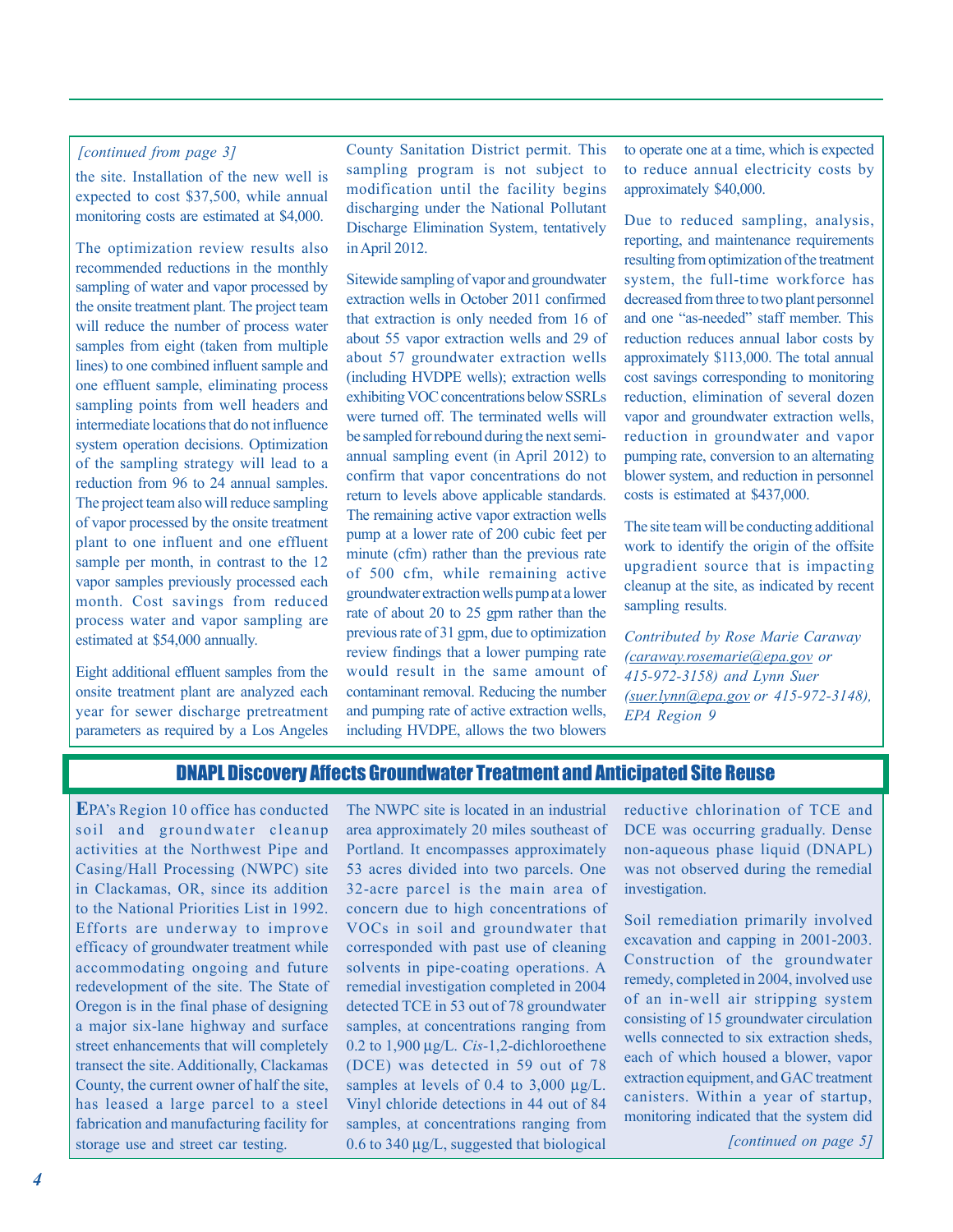### *[continued from page 3]*

the site. Installation of the new well is expected to cost \$37,500, while annual monitoring costs are estimated at \$4,000.

The optimization review results also recommended reductions in the monthly sampling of water and vapor processed by the onsite treatment plant. The project team will reduce the number of process water samples from eight (taken from multiple lines) to one combined influent sample and one effluent sample, eliminating process sampling points from well headers and intermediate locations that do not influence system operation decisions. Optimization of the sampling strategy will lead to a reduction from 96 to 24 annual samples. The project team also will reduce sampling of vapor processed by the onsite treatment plant to one influent and one effluent sample per month, in contrast to the 12 vapor samples previously processed each month. Cost savings from reduced process water and vapor sampling are estimated at \$54,000 annually.

Eight additional effluent samples from the onsite treatment plant are analyzed each year for sewer discharge pretreatment parameters as required by a Los Angeles County Sanitation District permit. This sampling program is not subject to modification until the facility begins discharging under the National Pollutant Discharge Elimination System, tentatively in April 2012.

Sitewide sampling of vapor and groundwater extraction wells in October 2011 confirmed that extraction is only needed from 16 of about 55 vapor extraction wells and 29 of about 57 groundwater extraction wells (including HVDPE wells); extraction wells exhibiting VOC concentrations below SSRLs were turned off. The terminated wells will be sampled for rebound during the next semiannual sampling event (in April 2012) to confirm that vapor concentrations do not return to levels above applicable standards. The remaining active vapor extraction wells pump at a lower rate of 200 cubic feet per minute (cfm) rather than the previous rate of 500 cfm, while remaining active groundwater extraction wells pump at a lower rate of about 20 to 25 gpm rather than the previous rate of 31 gpm, due to optimization review findings that a lower pumping rate would result in the same amount of contaminant removal. Reducing the number and pumping rate of active extraction wells, including HVDPE, allows the two blowers

to operate one at a time, which is expected to reduce annual electricity costs by approximately \$40,000.

Due to reduced sampling, analysis, reporting, and maintenance requirements resulting from optimization of the treatment system, the full-time workforce has decreased from three to two plant personnel and one "as-needed" staff member. This reduction reduces annual labor costs by approximately \$113,000. The total annual cost savings corresponding to monitoring reduction, elimination of several dozen vapor and groundwater extraction wells, reduction in groundwater and vapor pumping rate, conversion to an alternating blower system, and reduction in personnel costs is estimated at \$437,000.

The site team will be conducting additional work to identify the origin of the offsite upgradient source that is impacting cleanup at the site, as indicated by recent sampling results.

*Contributed by Rose Marie Caraway (caraway.rosemarie@epa.gov or 415-972-3158) and Lynn Suer (suer.lynn@epa.gov or 415-972-3148), EPA Region 9* 

# DNAPL Discovery Affects Groundwater Treatment and Anticipated Site Reuse

**E**PA's Region 10 office has conducted soil and groundwater cleanup activities at the Northwest Pipe and Casing/Hall Processing (NWPC) site in Clackamas, OR, since its addition to the National Priorities List in 1992. Efforts are underway to improve efficacy of groundwater treatment while accommodating ongoing and future redevelopment of the site. The State of Oregon is in the final phase of designing a major six-lane highway and surface street enhancements that will completely transect the site. Additionally, Clackamas County, the current owner of half the site, has leased a large parcel to a steel fabrication and manufacturing facility for storage use and street car testing.

The NWPC site is located in an industrial area approximately 20 miles southeast of Portland. It encompasses approximately 53 acres divided into two parcels. One 32-acre parcel is the main area of concern due to high concentrations of VOCs in soil and groundwater that corresponded with past use of cleaning solvents in pipe-coating operations. A remedial investigation completed in 2004 detected TCE in 53 out of 78 groundwater samples, at concentrations ranging from 0.2 to 1,900 μg/L. *Cis-*1,2-dichloroethene (DCE) was detected in 59 out of 78 samples at levels of 0.4 to 3,000 μg/L. Vinyl chloride detections in 44 out of 84 samples, at concentrations ranging from 0.6 to 340 μg/L, suggested that biological

reductive chlorination of TCE and DCE was occurring gradually. Dense non-aqueous phase liquid (DNAPL) was not observed during the remedial investigation.

Soil remediation primarily involved excavation and capping in 2001-2003. Construction of the groundwater remedy, completed in 2004, involved use of an in-well air stripping system consisting of 15 groundwater circulation wells connected to six extraction sheds, each of which housed a blower, vapor extraction equipment, and GAC treatment canisters. Within a year of startup, monitoring indicated that the system did

*[continued on page 5]*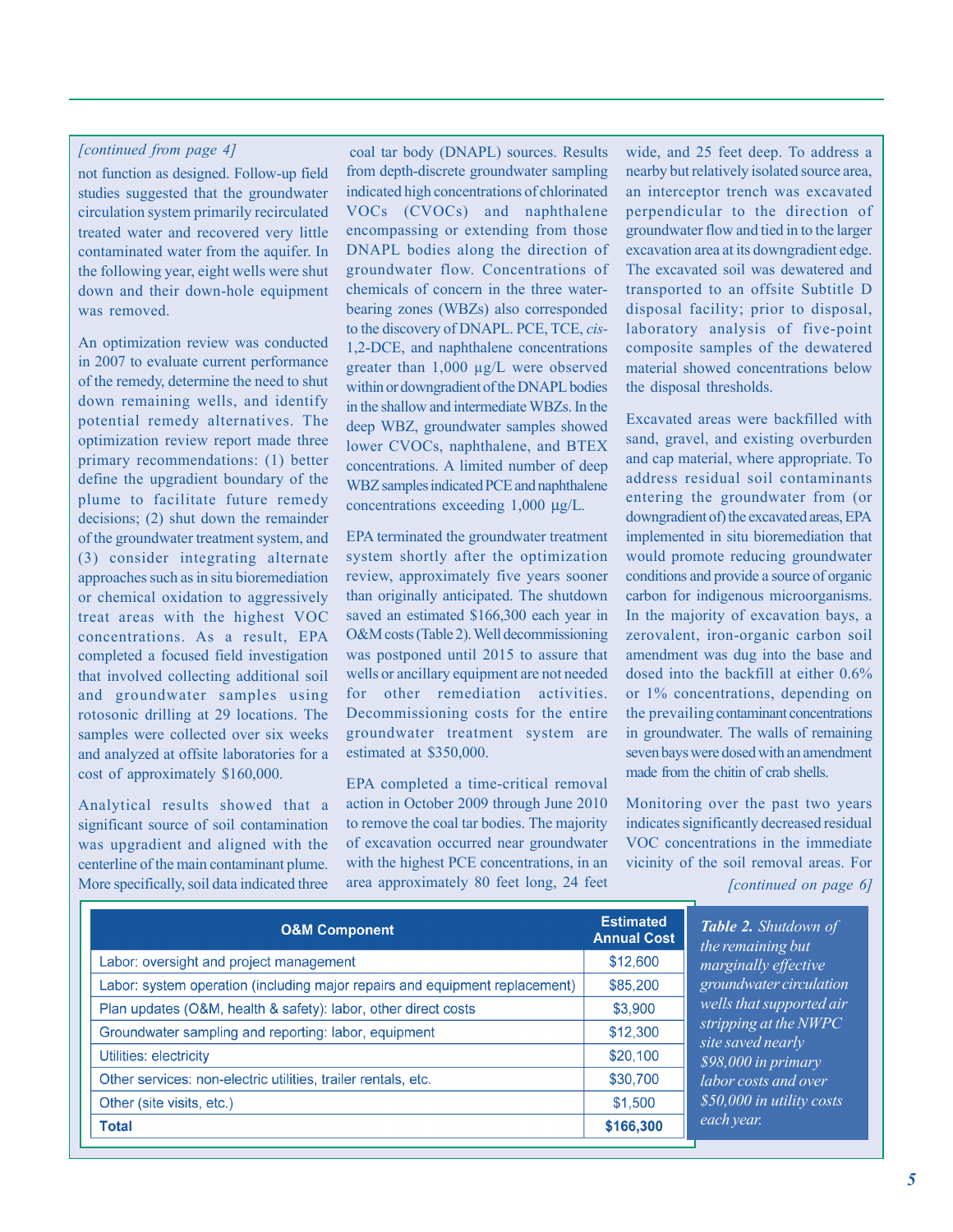#### *[continued from page 4]*

not function as designed. Follow-up field studies suggested that the groundwater circulation system primarily recirculated treated water and recovered very little contaminated water from the aquifer. In the following year, eight wells were shut down and their down-hole equipment was removed.

An optimization review was conducted in 2007 to evaluate current performance of the remedy, determine the need to shut down remaining wells, and identify potential remedy alternatives. The optimization review report made three primary recommendations: (1) better define the upgradient boundary of the plume to facilitate future remedy decisions; (2) shut down the remainder of the groundwater treatment system, and (3) consider integrating alternate approaches such as in situ bioremediation or chemical oxidation to aggressively treat areas with the highest VOC concentrations. As a result, EPA completed a focused field investigation that involved collecting additional soil and groundwater samples using rotosonic drilling at 29 locations. The samples were collected over six weeks and analyzed at offsite laboratories for a cost of approximately \$160,000.

Analytical results showed that a significant source of soil contamination was upgradient and aligned with the centerline of the main contaminant plume. More specifically, soil data indicated three

coal tar body (DNAPL) sources. Results from depth-discrete groundwater sampling indicated high concentrations of chlorinated VOCs (CVOCs) and naphthalene encompassing or extending from those DNAPL bodies along the direction of groundwater flow. Concentrations of chemicals of concern in the three waterbearing zones (WBZs) also corresponded to the discovery of DNAPL. PCE, TCE, *cis-*1,2-DCE, and naphthalene concentrations greater than 1,000 µg/L were observed within or downgradient of the DNAPL bodies in the shallow and intermediate WBZs. In the deep WBZ, groundwater samples showed lower CVOCs, naphthalene, and BTEX concentrations. A limited number of deep WBZ samples indicated PCE and naphthalene concentrations exceeding 1,000 μg/L.

EPA terminated the groundwater treatment system shortly after the optimization review, approximately five years sooner than originally anticipated. The shutdown saved an estimated \$166,300 each year in O&M costs (Table 2). Well decommissioning was postponed until 2015 to assure that wells or ancillary equipment are not needed for other remediation activities. Decommissioning costs for the entire groundwater treatment system are estimated at \$350,000.

EPA completed a time-critical removal action in October 2009 through June 2010 to remove the coal tar bodies. The majority of excavation occurred near groundwater with the highest PCE concentrations, in an area approximately 80 feet long, 24 feet wide, and 25 feet deep. To address a nearby but relatively isolated source area, an interceptor trench was excavated perpendicular to the direction of groundwater flow and tied in to the larger excavation area at its downgradient edge. The excavated soil was dewatered and transported to an offsite Subtitle D disposal facility; prior to disposal, laboratory analysis of five-point composite samples of the dewatered material showed concentrations below the disposal thresholds.

Excavated areas were backfilled with sand, gravel, and existing overburden and cap material, where appropriate. To address residual soil contaminants entering the groundwater from (or downgradient of) the excavated areas, EPA implemented in situ bioremediation that would promote reducing groundwater conditions and provide a source of organic carbon for indigenous microorganisms. In the majority of excavation bays, a zerovalent, iron-organic carbon soil amendment was dug into the base and dosed into the backfill at either 0.6% or 1% concentrations, depending on the prevailing contaminant concentrations in groundwater. The walls of remaining seven bays were dosed with an amendment made from the chitin of crab shells.

Monitoring over the past two years indicates significantly decreased residual VOC concentrations in the immediate vicinity of the soil removal areas. For

*[continued on page 6]* 

| <b>O&amp;M Component</b>                                                    | <b>Estimated</b><br><b>Annual Cost</b> |
|-----------------------------------------------------------------------------|----------------------------------------|
| Labor: oversight and project management                                     | \$12,600                               |
| Labor: system operation (including major repairs and equipment replacement) | \$85,200                               |
| Plan updates (O&M, health & safety): labor, other direct costs              | \$3,900                                |
| Groundwater sampling and reporting: labor, equipment                        | \$12,300                               |
| Utilities: electricity                                                      | \$20,100                               |
| Other services: non-electric utilities, trailer rentals, etc.               | \$30,700                               |
| Other (site visits, etc.)                                                   | \$1,500                                |
| <b>Total</b>                                                                | \$166,300                              |

*Table 2. Shutdown of the remaining but marginally effective groundwater circulation wells that supported air stripping at the NWPC site saved nearly \$98,000 in primary labor costs and over \$50,000 in utility costs ech year.*